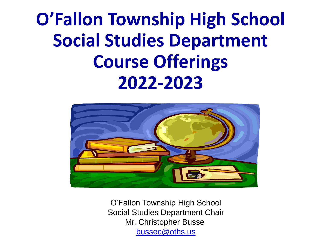**O'Fallon Township High School Social Studies Department Course Offerings 2022-2023**



O'Fallon Township High School Social Studies Department Chair Mr. Christopher Busse [bussec@oths.us](mailto:bussec@oths.us)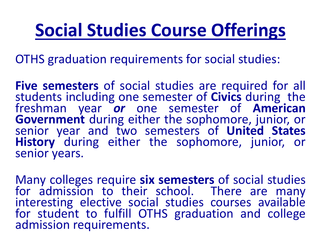OTHS graduation requirements for social studies:

**Five semesters** of social studies are required for all students including one semester of **Civics** during the freshman year *or* one semester of **American Government** during either the sophomore, junior, or senior year and two semesters of **United States History** during either the sophomore, junior, or senior years.

Many colleges require **six semesters** of social studies for admission to their school. There are many interesting elective social studies courses available for student to fulfill OTHS graduation and college admission requirements.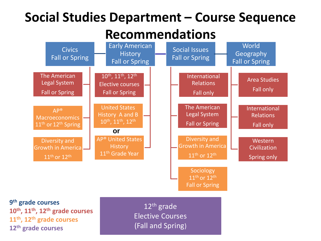### **Social Studies Department – Course Sequence**

#### **Recommendations**



 **th grade courses th, 11th, 12th grade courses th, 12th grade courses th grade courses**

 $12<sup>th</sup>$  grade Elective Courses (Fall and Spring)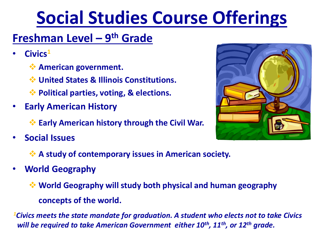### **Freshman Level – 9 th Grade**

- **Civics<sup>1</sup>**
	- ❖ **American government.**
	- ❖ **United States & Illinois Constitutions.**
	- ❖ **Political parties, voting, & elections.**
- **Early American History**
	- ❖ **Early American history through the Civil War.**
- **Social Issues**



- ❖ **A study of contemporary issues in American society.**
- **World Geography**
	- ❖ **World Geography will study both physical and human geography concepts of the world.**

*<sup>1</sup>Civics meets the state mandate for graduation. A student who elects not to take Civics will be required to take American Government either 10th , 11th , or 12th grade.*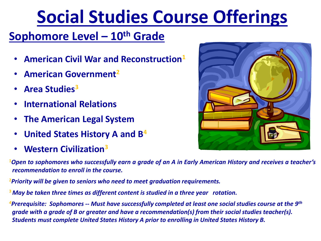#### **Sophomore Level – 10th Grade**

- **American Civil War and Reconstruction<sup>1</sup>**
- **American Government<sup>2</sup>**
- **Area Studies<sup>3</sup>**
- **International Relations**
- **The American Legal System**
- **United States History A and B<sup>4</sup>**
- **Western Civilization<sup>3</sup>**

<sup>1</sup>Open to sophomores who successfully earn a grade of an A in Early American History and receives a teacher's *recommendation to enroll in the course.*

**<sup>2</sup>***Priority will be given to seniors who need to meet graduation requirements.*

**<sup>3</sup>** *May be taken three times as different content is studied in a three year rotation.*

*<sup>4</sup>Prerequisite: Sophomores -- Must have successfully completed at least one social studies course at the 9th grade with a grade of B or greater and have a recommendation(s) from their social studies teacher(s). Students must complete United States History A prior to enrolling in United States History B.*

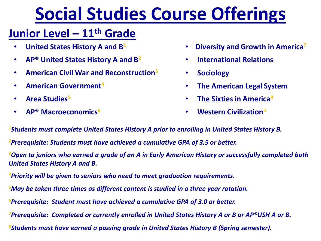#### **Junior Level – 11th Grade**

- **United States History A and B<sup>1</sup>**
- **AP® United States History A and B<sup>2</sup>**
- **American Civil War and Reconstruction<sup>3</sup>**
- **American Government<sup>4</sup>**
- **Area Studies<sup>5</sup>**
- **AP® Macroeconomics<sup>6</sup>**
- **Diversity and Growth in America<sup>7</sup>**
- **International Relations**
- **Sociology**
- **The American Legal System**
- **The Sixties in America<sup>8</sup>**
- **Western Civilization<sup>5</sup>**

*<sup>1</sup>Students must complete United States History A prior to enrolling in United States History B.*

*<sup>2</sup>Prerequisite: Students must have achieved a cumulative GPA of 3.5 or better.* 

*<sup>3</sup>Open to juniors who earned a grade of an A in Early American History or successfully completed both United States History A and B.*

*<sup>4</sup>Priority will be given to seniors who need to meet graduation requirements.*

*<sup>5</sup>May be taken three times as different content is studied in a three year rotation.*

*<sup>6</sup>Prerequisite: Student must have achieved a cumulative GPA of 3.0 or better.*

*<sup>7</sup>Prerequisite: Completed or currently enrolled in United States History A or B or AP®USH A or B.*

*8Students must have earned a passing grade in United States History B (Spring semester).*